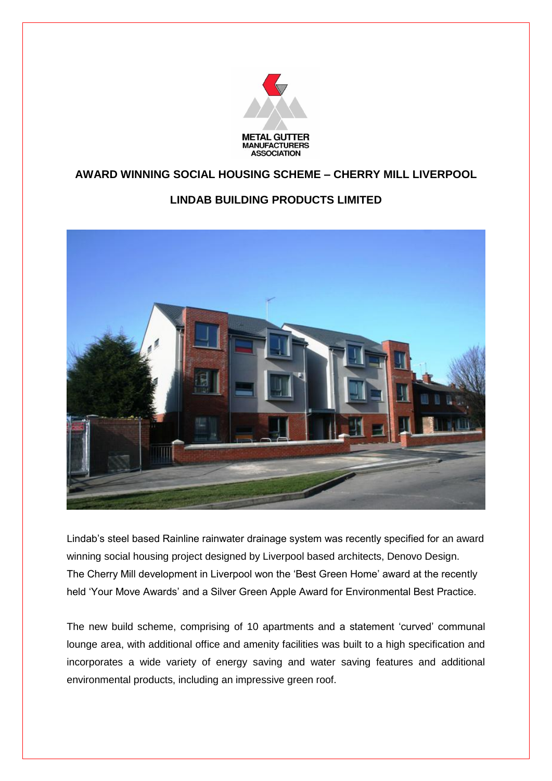

## **AWARD WINNING SOCIAL HOUSING SCHEME – CHERRY MILL LIVERPOOL**

## **LINDAB BUILDING PRODUCTS LIMITED**



Lindab's steel based Rainline rainwater drainage system was recently specified for an award winning social housing project designed by Liverpool based architects, Denovo Design. The Cherry Mill development in Liverpool won the 'Best Green Home' award at the recently held 'Your Move Awards' and a Silver Green Apple Award for Environmental Best Practice.

The new build scheme, comprising of 10 apartments and a statement 'curved' communal lounge area, with additional office and amenity facilities was built to a high specification and incorporates a wide variety of energy saving and water saving features and additional environmental products, including an impressive green roof.